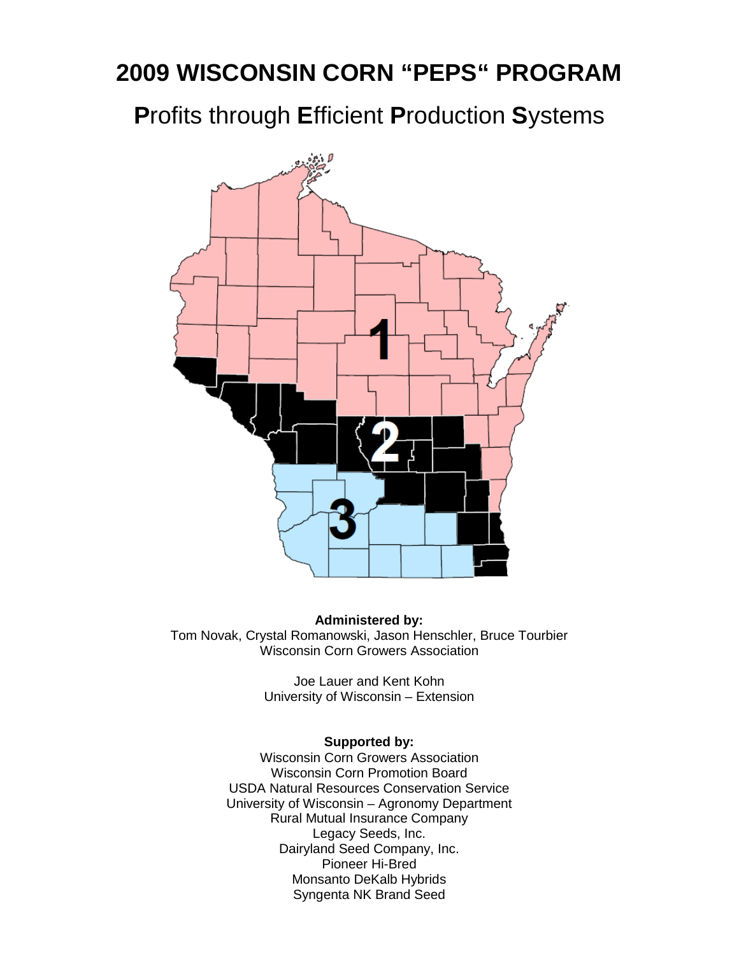# **2009 WISCONSIN CORN "PEPS" PROGRAM**

**P**rofits through **E**fficient **P**roduction **S**ystems



**Administered by:**  Tom Novak, Crystal Romanowski, Jason Henschler, Bruce Tourbier Wisconsin Corn Growers Association

> Joe Lauer and Kent Kohn University of Wisconsin – Extension

#### **Supported by:**

Wisconsin Corn Growers Association Wisconsin Corn Promotion Board USDA Natural Resources Conservation Service University of Wisconsin – Agronomy Department Rural Mutual Insurance Company Legacy Seeds, Inc. Dairyland Seed Company, Inc. Pioneer Hi-Bred Monsanto DeKalb Hybrids Syngenta NK Brand Seed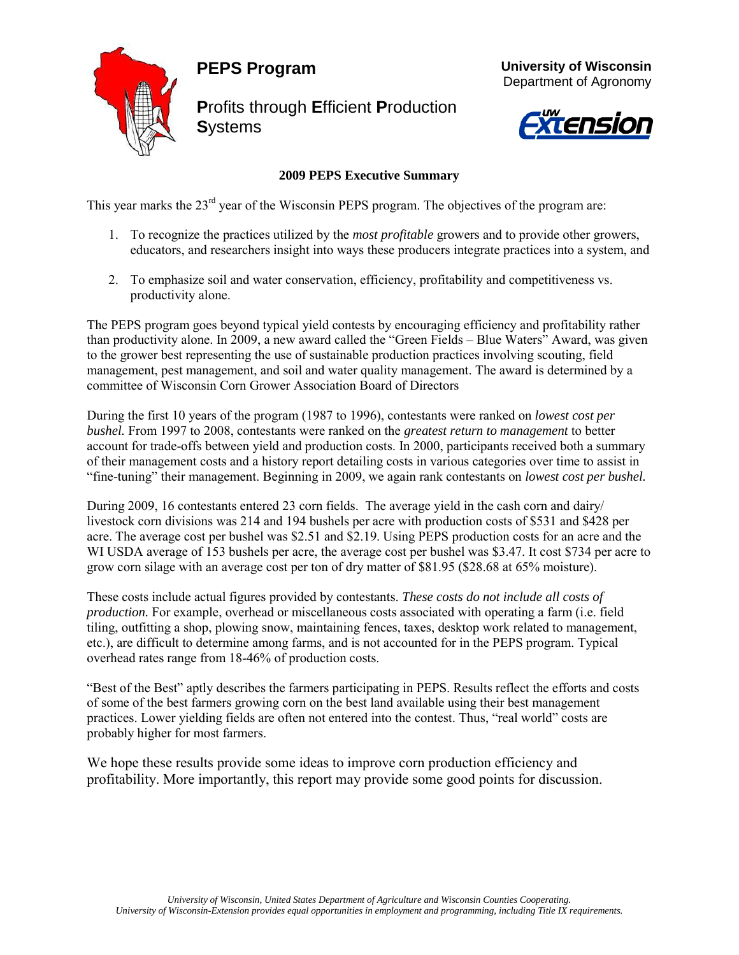## **PEPS Program**



**P**rofits through **E**fficient **P**roduction **S**ystems





### **2009 PEPS Executive Summary**

This year marks the 23<sup>rd</sup> year of the Wisconsin PEPS program. The objectives of the program are:

- 1. To recognize the practices utilized by the *most profitable* growers and to provide other growers, educators, and researchers insight into ways these producers integrate practices into a system, and
- 2. To emphasize soil and water conservation, efficiency, profitability and competitiveness vs. productivity alone.

The PEPS program goes beyond typical yield contests by encouraging efficiency and profitability rather than productivity alone. In 2009, a new award called the "Green Fields – Blue Waters" Award, was given to the grower best representing the use of sustainable production practices involving scouting, field management, pest management, and soil and water quality management. The award is determined by a committee of Wisconsin Corn Grower Association Board of Directors

During the first 10 years of the program (1987 to 1996), contestants were ranked on *lowest cost per bushel.* From 1997 to 2008, contestants were ranked on the *greatest return to management* to better account for trade-offs between yield and production costs. In 2000, participants received both a summary of their management costs and a history report detailing costs in various categories over time to assist in "fine-tuning" their management. Beginning in 2009, we again rank contestants on *lowest cost per bushel.*

During 2009, 16 contestants entered 23 corn fields. The average yield in the cash corn and dairy/ livestock corn divisions was 214 and 194 bushels per acre with production costs of \$531 and \$428 per acre. The average cost per bushel was \$2.51 and \$2.19. Using PEPS production costs for an acre and the WI USDA average of 153 bushels per acre, the average cost per bushel was \$3.47. It cost \$734 per acre to grow corn silage with an average cost per ton of dry matter of \$81.95 (\$28.68 at 65% moisture).

These costs include actual figures provided by contestants. *These costs do not include all costs of production.* For example, overhead or miscellaneous costs associated with operating a farm (i.e. field tiling, outfitting a shop, plowing snow, maintaining fences, taxes, desktop work related to management, etc.), are difficult to determine among farms, and is not accounted for in the PEPS program. Typical overhead rates range from 18-46% of production costs.

"Best of the Best" aptly describes the farmers participating in PEPS. Results reflect the efforts and costs of some of the best farmers growing corn on the best land available using their best management practices. Lower yielding fields are often not entered into the contest. Thus, "real world" costs are probably higher for most farmers.

We hope these results provide some ideas to improve corn production efficiency and profitability. More importantly, this report may provide some good points for discussion.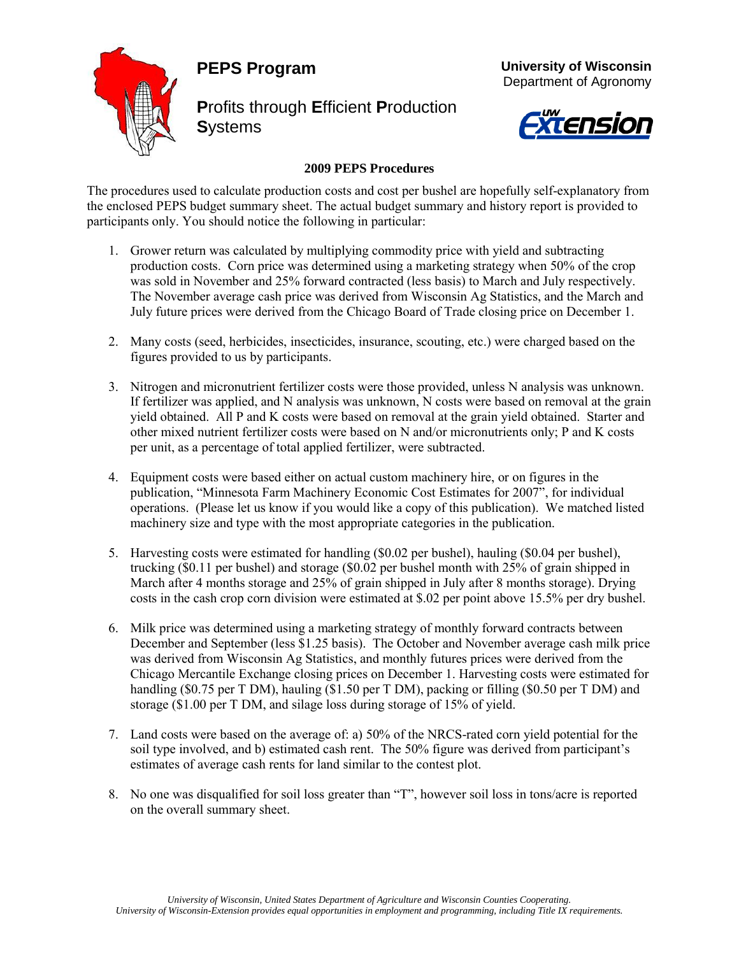## **PEPS Program**



**P**rofits through **E**fficient **P**roduction **S**ystems



 **University of Wisconsin** Department of Agronomy

#### **2009 PEPS Procedures**

The procedures used to calculate production costs and cost per bushel are hopefully self-explanatory from the enclosed PEPS budget summary sheet. The actual budget summary and history report is provided to participants only. You should notice the following in particular:

- 1. Grower return was calculated by multiplying commodity price with yield and subtracting production costs. Corn price was determined using a marketing strategy when 50% of the crop was sold in November and 25% forward contracted (less basis) to March and July respectively. The November average cash price was derived from Wisconsin Ag Statistics, and the March and July future prices were derived from the Chicago Board of Trade closing price on December 1.
- 2. Many costs (seed, herbicides, insecticides, insurance, scouting, etc.) were charged based on the figures provided to us by participants.
- 3. Nitrogen and micronutrient fertilizer costs were those provided, unless N analysis was unknown. If fertilizer was applied, and N analysis was unknown, N costs were based on removal at the grain yield obtained. All P and K costs were based on removal at the grain yield obtained. Starter and other mixed nutrient fertilizer costs were based on N and/or micronutrients only; P and K costs per unit, as a percentage of total applied fertilizer, were subtracted.
- 4. Equipment costs were based either on actual custom machinery hire, or on figures in the publication, "Minnesota Farm Machinery Economic Cost Estimates for 2007", for individual operations. (Please let us know if you would like a copy of this publication). We matched listed machinery size and type with the most appropriate categories in the publication.
- 5. Harvesting costs were estimated for handling (\$0.02 per bushel), hauling (\$0.04 per bushel), trucking (\$0.11 per bushel) and storage (\$0.02 per bushel month with 25% of grain shipped in March after 4 months storage and 25% of grain shipped in July after 8 months storage). Drying costs in the cash crop corn division were estimated at \$.02 per point above 15.5% per dry bushel.
- 6. Milk price was determined using a marketing strategy of monthly forward contracts between December and September (less \$1.25 basis). The October and November average cash milk price was derived from Wisconsin Ag Statistics, and monthly futures prices were derived from the Chicago Mercantile Exchange closing prices on December 1. Harvesting costs were estimated for handling (\$0.75 per T DM), hauling (\$1.50 per T DM), packing or filling (\$0.50 per T DM) and storage (\$1.00 per T DM, and silage loss during storage of 15% of yield.
- 7. Land costs were based on the average of: a) 50% of the NRCS-rated corn yield potential for the soil type involved, and b) estimated cash rent. The 50% figure was derived from participant's estimates of average cash rents for land similar to the contest plot.
- 8. No one was disqualified for soil loss greater than "T", however soil loss in tons/acre is reported on the overall summary sheet.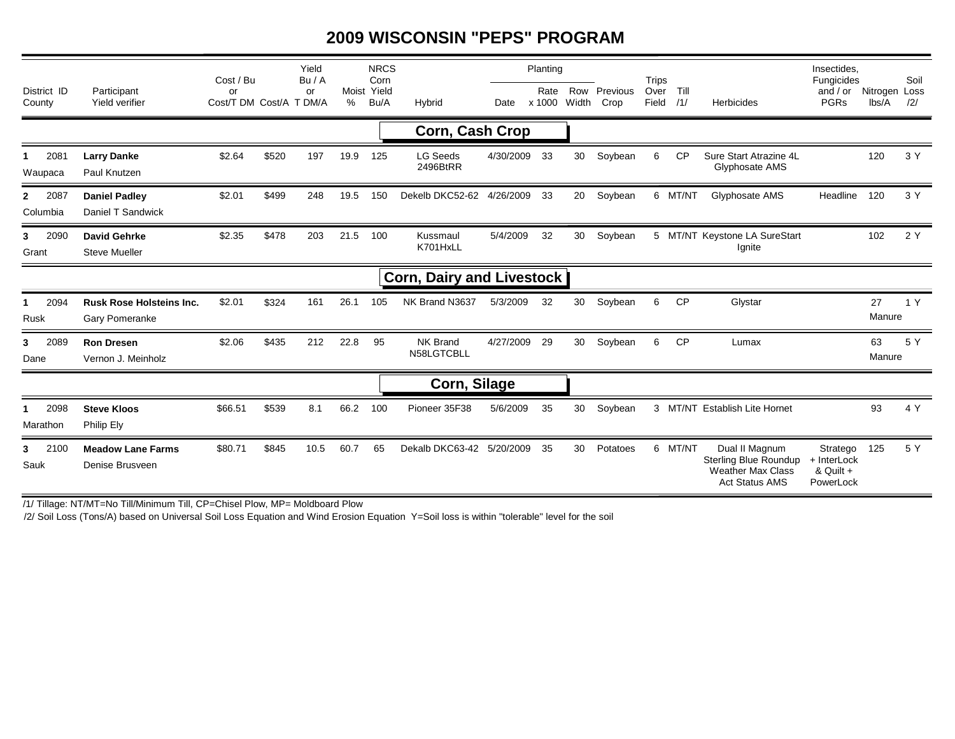## **2009 WISCONSIN "PEPS" PROGRAM**

| District ID<br>County            | Participant<br>Yield verifier                     | Cost / Bu<br>or<br>Cost/T DM Cost/A T DM/A |       | Yield<br>Bu/A<br>or | Moist<br>% | <b>NRCS</b><br>Corn<br>Yield<br>Bu/A | Hybrid                      | Date      | Planting<br>Rate<br>x 1000 | Row<br>Width | Previous<br>Crop | <b>Trips</b><br>Over<br>Field | Till<br>/1/ | <b>Herbicides</b>                                                                            | Insectides.<br>Fungicides<br>and $/$ or<br>PGRs   | Nitrogen Loss<br>lbs/A | Soil<br>/2/ |
|----------------------------------|---------------------------------------------------|--------------------------------------------|-------|---------------------|------------|--------------------------------------|-----------------------------|-----------|----------------------------|--------------|------------------|-------------------------------|-------------|----------------------------------------------------------------------------------------------|---------------------------------------------------|------------------------|-------------|
|                                  |                                                   |                                            |       |                     |            |                                      |                             |           |                            |              |                  |                               |             |                                                                                              |                                                   |                        |             |
| <b>Corn, Cash Crop</b>           |                                                   |                                            |       |                     |            |                                      |                             |           |                            |              |                  |                               |             |                                                                                              |                                                   |                        |             |
| 2081<br>1<br>Waupaca             | <b>Larry Danke</b><br>Paul Knutzen                | \$2.64                                     | \$520 | 197                 | 19.9       | 125                                  | <b>LG Seeds</b><br>2496BtRR | 4/30/2009 | -33                        | 30           | Soybean          | 6                             | <b>CP</b>   | Sure Start Atrazine 4L<br>Glyphosate AMS                                                     |                                                   | 120                    | 3 Y         |
| $\mathbf{2}$<br>2087<br>Columbia | <b>Daniel Padley</b><br>Daniel T Sandwick         | \$2.01                                     | \$499 | 248                 | 19.5       | 150                                  | Dekelb DKC52-62             | 4/26/2009 | 33                         | 20           | Soybean          |                               | 6 MT/NT     | Glyphosate AMS                                                                               | Headline                                          | 120                    | 3 Y         |
| 2090<br>3<br>Grant               | <b>David Gehrke</b><br><b>Steve Mueller</b>       | \$2.35                                     | \$478 | 203                 | 21.5       | 100                                  | Kussmaul<br>K701HxLL        | 5/4/2009  | 32                         | 30           | Soybean          |                               |             | 5 MT/NT Keystone LA SureStart<br>Ignite                                                      |                                                   | 102                    | 2 Y         |
| <b>Corn, Dairy and Livestock</b> |                                                   |                                            |       |                     |            |                                      |                             |           |                            |              |                  |                               |             |                                                                                              |                                                   |                        |             |
| 2094<br>1<br>Rusk                | <b>Rusk Rose Holsteins Inc.</b><br>Gary Pomeranke | \$2.01                                     | \$324 | 161                 | 26.1       | 105                                  | NK Brand N3637              | 5/3/2009  | 32                         | 30           | Soybean          | 6                             | CP          | Glystar                                                                                      |                                                   | 27<br>Manure           | 1 Y         |
| 2089<br>3<br>Dane                | <b>Ron Dresen</b><br>Vernon J. Meinholz           | \$2.06                                     | \$435 | 212                 | 22.8       | 95                                   | NK Brand<br>N58LGTCBLL      | 4/27/2009 | 29                         | 30           | Soybean          | 6                             | <b>CP</b>   | Lumax                                                                                        |                                                   | 63<br>Manure           | 5 Y         |
| Corn, Silage                     |                                                   |                                            |       |                     |            |                                      |                             |           |                            |              |                  |                               |             |                                                                                              |                                                   |                        |             |
| 2098<br>Marathon                 | <b>Steve Kloos</b><br>Philip Ely                  | \$66.51                                    | \$539 | 8.1                 | 66.2       | 100                                  | Pioneer 35F38               | 5/6/2009  | 35                         | 30           | Soybean          |                               |             | 3 MT/NT Establish Lite Hornet                                                                |                                                   | 93                     | 4 Y         |
| 2100<br>3<br>Sauk                | <b>Meadow Lane Farms</b><br>Denise Brusveen       | \$80.71                                    | \$845 | 10.5                | 60.7       | 65                                   | Dekalb DKC63-42             | 5/20/2009 | 35                         | 30           | Potatoes         |                               | 6 MT/NT     | Dual II Magnum<br>Sterling Blue Roundup<br><b>Weather Max Class</b><br><b>Act Status AMS</b> | Stratego<br>+ InterLock<br>& Quilt +<br>PowerLock | 125                    | 5 Y         |

/1/ Tillage: NT/MT=No Till/Minimum Till, CP=Chisel Plow, MP= Moldboard Plow

/2/ Soil Loss (Tons/A) based on Universal Soil Loss Equation and Wind Erosion Equation Y=Soil loss is within "tolerable" level for the soil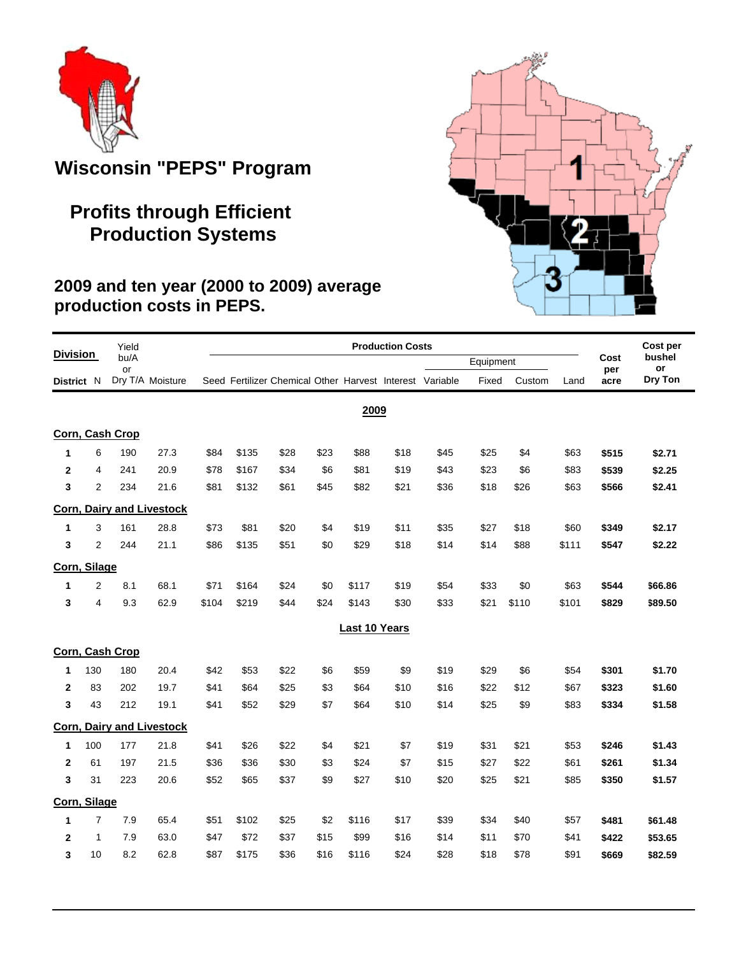

# **Wisconsin "PEPS" Program**

# **Profits through Efficient Production Systems**

## **2009 and ten year (2000 to 2009) average production costs in PEPS.**

| <b>Division</b> |                | Yield            |                                  | <b>Production Costs</b> |       |                                                          |      |               |      |      |           |        |       |             | Cost per     |
|-----------------|----------------|------------------|----------------------------------|-------------------------|-------|----------------------------------------------------------|------|---------------|------|------|-----------|--------|-------|-------------|--------------|
|                 |                | bu/A<br>or       |                                  |                         |       |                                                          |      |               |      |      | Equipment |        |       | Cost<br>per | bushel<br>or |
| District N      |                | Dry T/A Moisture |                                  |                         |       | Seed Fertilizer Chemical Other Harvest Interest Variable |      |               |      |      | Fixed     | Custom | Land  | acre        | Dry Ton      |
|                 |                |                  |                                  |                         |       |                                                          |      | 2009          |      |      |           |        |       |             |              |
|                 |                | Corn, Cash Crop  |                                  |                         |       |                                                          |      |               |      |      |           |        |       |             |              |
| 1               | 6              | 190              | 27.3                             | \$84                    | \$135 | \$28                                                     | \$23 | \$88          | \$18 | \$45 | \$25      | \$4    | \$63  | \$515       | \$2.71       |
| $\mathbf{2}$    | 4              | 241              | 20.9                             | \$78                    | \$167 | \$34                                                     | \$6  | \$81          | \$19 | \$43 | \$23      | \$6    | \$83  | \$539       | \$2.25       |
| 3               | $\overline{2}$ | 234              | 21.6                             | \$81                    | \$132 | \$61                                                     | \$45 | \$82          | \$21 | \$36 | \$18      | \$26   | \$63  | \$566       | \$2.41       |
|                 |                |                  | <b>Corn, Dairy and Livestock</b> |                         |       |                                                          |      |               |      |      |           |        |       |             |              |
| 1               | 3              | 161              | 28.8                             | \$73                    | \$81  | \$20                                                     | \$4  | \$19          | \$11 | \$35 | \$27      | \$18   | \$60  | \$349       | \$2.17       |
| 3               | $\overline{2}$ | 244              | 21.1                             | \$86                    | \$135 | \$51                                                     | \$0  | \$29          | \$18 | \$14 | \$14      | \$88   | \$111 | \$547       | \$2.22       |
| Corn, Silage    |                |                  |                                  |                         |       |                                                          |      |               |      |      |           |        |       |             |              |
| 1               | $\overline{2}$ | 8.1              | 68.1                             | \$71                    | \$164 | \$24                                                     | \$0  | \$117         | \$19 | \$54 | \$33      | \$0    | \$63  | \$544       | \$66.86      |
| 3               | 4              | 9.3              | 62.9                             | \$104                   | \$219 | \$44                                                     | \$24 | \$143         | \$30 | \$33 | \$21      | \$110  | \$101 | \$829       | \$89.50      |
|                 |                |                  |                                  |                         |       |                                                          |      | Last 10 Years |      |      |           |        |       |             |              |
|                 |                | Corn, Cash Crop  |                                  |                         |       |                                                          |      |               |      |      |           |        |       |             |              |
| 1               | 130            | 180              | 20.4                             | \$42                    | \$53  | \$22                                                     | \$6  | \$59          | \$9  | \$19 | \$29      | \$6    | \$54  | \$301       | \$1.70       |
| $\mathbf{2}$    | 83             | 202              | 19.7                             | \$41                    | \$64  | \$25                                                     | \$3  | \$64          | \$10 | \$16 | \$22      | \$12   | \$67  | \$323       | \$1.60       |
| 3               | 43             | 212              | 19.1                             | \$41                    | \$52  | \$29                                                     | \$7  | \$64          | \$10 | \$14 | \$25      | \$9    | \$83  | \$334       | \$1.58       |
|                 |                |                  | <b>Corn, Dairy and Livestock</b> |                         |       |                                                          |      |               |      |      |           |        |       |             |              |
| 1               | 100            | 177              | 21.8                             | \$41                    | \$26  | \$22                                                     | \$4  | \$21          | \$7  | \$19 | \$31      | \$21   | \$53  | \$246       | \$1.43       |
| $\mathbf{2}$    | 61             | 197              | 21.5                             | \$36                    | \$36  | \$30                                                     | \$3  | \$24          | \$7  | \$15 | \$27      | \$22   | \$61  | \$261       | \$1.34       |
| 3               | 31             | 223              | 20.6                             | \$52                    | \$65  | \$37                                                     | \$9  | \$27          | \$10 | \$20 | \$25      | \$21   | \$85  | \$350       | \$1.57       |
| Corn, Silage    |                |                  |                                  |                         |       |                                                          |      |               |      |      |           |        |       |             |              |
| 1               | $\overline{7}$ | 7.9              | 65.4                             | \$51                    | \$102 | \$25                                                     | \$2  | \$116         | \$17 | \$39 | \$34      | \$40   | \$57  | \$481       | \$61.48      |
| $\mathbf{2}$    | 1              | 7.9              | 63.0                             | \$47                    | \$72  | \$37                                                     | \$15 | \$99          | \$16 | \$14 | \$11      | \$70   | \$41  | \$422       | \$53.65      |
| 3               | 10             | 8.2              | 62.8                             | \$87                    | \$175 | \$36                                                     | \$16 | \$116         | \$24 | \$28 | \$18      | \$78   | \$91  | \$669       | \$82.59      |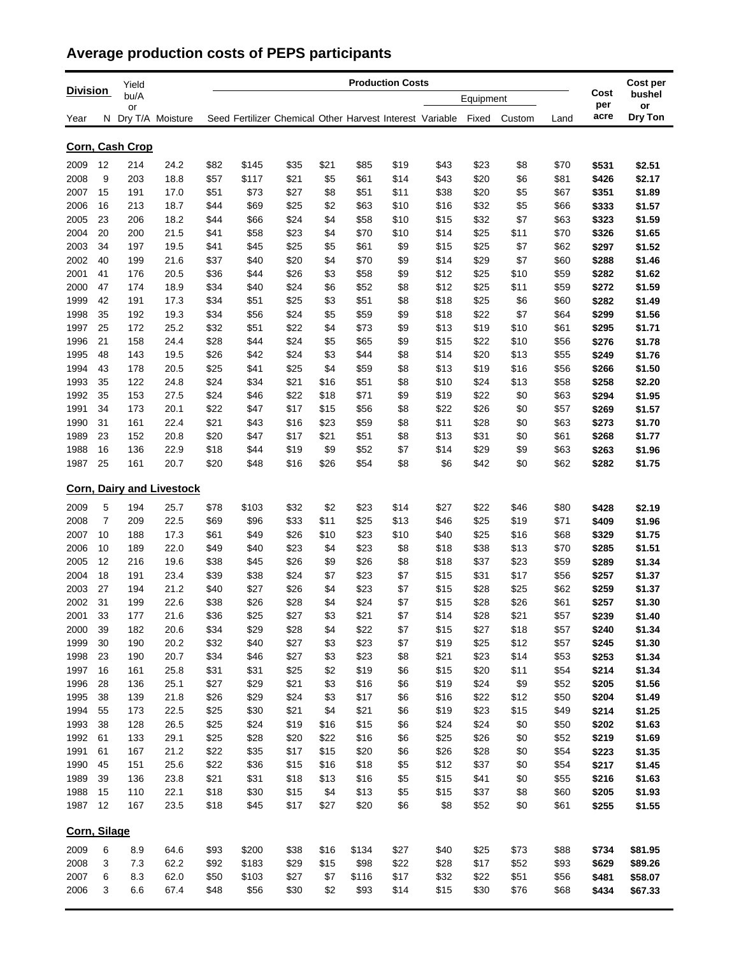## **Average production costs of PEPS participants**

|                 |                 | Yield      |                                  |              |              | Cost per                                                 |             |              |            |              |              |             |              |                |                  |
|-----------------|-----------------|------------|----------------------------------|--------------|--------------|----------------------------------------------------------|-------------|--------------|------------|--------------|--------------|-------------|--------------|----------------|------------------|
| <b>Division</b> |                 | bu/A       |                                  |              |              |                                                          |             |              |            |              | Equipment    |             |              | Cost<br>per    | bushel           |
| Year            |                 | or         | N Dry T/A Moisture               |              |              | Seed Fertilizer Chemical Other Harvest Interest Variable |             |              |            |              | Fixed        | Custom      | Land         | acre           | or<br>Dry Ton    |
|                 | Corn, Cash Crop |            |                                  |              |              |                                                          |             |              |            |              |              |             |              |                |                  |
| 2009            | 12              | 214        | 24.2                             | \$82         | \$145        | \$35                                                     | \$21        | \$85         | \$19       | \$43         | \$23         | \$8         | \$70         | \$531          | \$2.51           |
| 2008            | 9               | 203        | 18.8                             | \$57         | \$117        | \$21                                                     | \$5         | \$61         | \$14       | \$43         | \$20         | \$6         | \$81         | \$426          | \$2.17           |
| 2007            | 15              | 191        | 17.0                             | \$51         | \$73         | \$27                                                     | \$8         | \$51         | \$11       | \$38         | \$20         | \$5         | \$67         | \$351          | \$1.89           |
| 2006            | 16              | 213        | 18.7                             | \$44         | \$69         | \$25                                                     | \$2         | \$63         | \$10       | \$16         | \$32         | \$5         | \$66         | \$333          | \$1.57           |
| 2005            | 23              | 206        | 18.2                             | \$44         | \$66         | \$24                                                     | \$4         | \$58         | \$10       | \$15         | \$32         | \$7         | \$63         | \$323          | \$1.59           |
| 2004            | 20              | 200        | 21.5                             | \$41         | \$58         | \$23                                                     | \$4         | \$70         | \$10       | \$14         | \$25         | \$11        | \$70         | \$326          | \$1.65           |
| 2003            | 34              | 197        | 19.5                             | \$41         | \$45         | \$25                                                     | \$5         | \$61         | \$9        | \$15         | \$25         | \$7         | \$62         | \$297          | \$1.52           |
| 2002            | 40              | 199        | 21.6                             | \$37         | \$40         | \$20                                                     | \$4         | \$70         | \$9        | \$14         | \$29         | \$7         | \$60         | \$288          | \$1.46           |
| 2001            | 41              | 176        | 20.5                             | \$36         | \$44         | \$26                                                     | \$3         | \$58         | \$9        | \$12         | \$25         | \$10        | \$59         | \$282          | \$1.62           |
| 2000            | 47              | 174        | 18.9                             | \$34         | \$40         | \$24                                                     | \$6         | \$52         | \$8        | \$12         | \$25         | \$11        | \$59         | \$272          | \$1.59           |
| 1999            | 42              | 191        | 17.3                             | \$34         | \$51         | \$25                                                     | \$3         | \$51         | \$8        | \$18         | \$25         | \$6         | \$60         | \$282          | \$1.49           |
| 1998            | 35              | 192        | 19.3                             | \$34         | \$56         | \$24                                                     | \$5         | \$59         | \$9        | \$18         | \$22         | \$7         | \$64         | \$299          | \$1.56           |
| 1997            | 25              | 172        | 25.2                             | \$32         | \$51         | \$22                                                     | \$4         | \$73         | \$9        | \$13         | \$19         | \$10        | \$61         | \$295          | \$1.71           |
| 1996            | 21              | 158        | 24.4                             | \$28         | \$44         | \$24                                                     | \$5         | \$65         | \$9        | \$15         | \$22         | \$10        | \$56         | \$276          | \$1.78           |
| 1995            | 48              | 143        | 19.5                             | \$26         | \$42         | \$24                                                     | \$3         | \$44         | \$8        | \$14         | \$20         | \$13        | \$55         | \$249          | \$1.76           |
| 1994            | 43              | 178        | 20.5                             | \$25         | \$41         | \$25                                                     | \$4         | \$59         | \$8        | \$13         | \$19         | \$16        | \$56         | \$266          | \$1.50           |
| 1993            | 35              | 122        | 24.8                             | \$24         | \$34         | \$21                                                     | \$16        | \$51         | \$8        | \$10         | \$24         | \$13        | \$58         | \$258          | \$2.20           |
| 1992            | 35              | 153        | 27.5                             | \$24         | \$46         | \$22                                                     | \$18        | \$71         | \$9        | \$19         | \$22         | \$0         | \$63         | \$294          | \$1.95           |
| 1991            | 34              | 173        | 20.1                             | \$22         | \$47         | \$17                                                     | \$15        | \$56         | \$8        | \$22         | \$26         | \$0         | \$57         | \$269          | \$1.57           |
| 1990            | 31<br>23        | 161        | 22.4                             | \$21         | \$43         | \$16                                                     | \$23        | \$59         | \$8        | \$11         | \$28         | \$0         | \$63         | \$273          | \$1.70           |
| 1989<br>1988    | 16              | 152<br>136 | 20.8<br>22.9                     | \$20<br>\$18 | \$47<br>\$44 | \$17<br>\$19                                             | \$21<br>\$9 | \$51<br>\$52 | \$8<br>\$7 | \$13<br>\$14 | \$31<br>\$29 | \$0<br>\$9  | \$61<br>\$63 | \$268          | \$1.77           |
| 1987            | 25              | 161        | 20.7                             | \$20         | \$48         | \$16                                                     | \$26        | \$54         | \$8        | \$6          | \$42         | \$0         | \$62         | \$263<br>\$282 | \$1.96<br>\$1.75 |
|                 |                 |            |                                  |              |              |                                                          |             |              |            |              |              |             |              |                |                  |
|                 |                 |            | <b>Corn, Dairy and Livestock</b> |              |              |                                                          |             |              |            |              |              |             |              |                |                  |
| 2009            | 5               | 194        | 25.7                             | \$78         | \$103        | \$32                                                     | \$2         | \$23         | \$14       | \$27         | \$22         | \$46        | \$80         | \$428          | \$2.19           |
| 2008            | 7               | 209        | 22.5                             | \$69         | \$96         | \$33                                                     | \$11        | \$25         | \$13       | \$46         | \$25         | \$19        | \$71         | \$409          | \$1.96           |
| 2007            | 10              | 188        | 17.3                             | \$61         | \$49         | \$26                                                     | \$10        | \$23         | \$10       | \$40         | \$25         | \$16        | \$68         | \$329          | \$1.75           |
| 2006            | 10              | 189        | 22.0                             | \$49         | \$40         | \$23                                                     | \$4         | \$23         | \$8        | \$18         | \$38         | \$13        | \$70         | \$285          | \$1.51           |
| 2005            | 12              | 216        | 19.6                             | \$38         | \$45         | \$26                                                     | \$9         | \$26         | \$8        | \$18         | \$37         | \$23        | \$59         | \$289          | \$1.34           |
| 2004            | 18              | 191        | 23.4                             | \$39         | \$38         | \$24                                                     | \$7         | \$23         | \$7        | \$15         | \$31         | \$17        | \$56         | \$257          | \$1.37           |
| 2003            | 27              | 194        | 21.2                             | \$40         | \$27         | \$26                                                     | \$4         | \$23         | \$7        | \$15         | \$28         | \$25        | \$62         | \$259          | \$1.37           |
| 2002            | 31              | 199        | 22.6                             | \$38         | \$26         | \$28                                                     | \$4         | \$24         | \$7        | \$15         | \$28         | \$26        | \$61         | \$257          | \$1.30           |
| 2001            | 33              | 177        | 21.6                             | \$36         | \$25         | \$27                                                     | \$3         | \$21         | \$7        | \$14         | \$28         | \$21        | \$57         | \$239          | \$1.40           |
| 2000            | 39              | 182        | 20.6                             | \$34         | \$29         | \$28                                                     | \$4         | \$22         | \$7        | \$15         | \$27         | \$18        | \$57         | \$240          | \$1.34           |
| 1999            | 30              | 190        | 20.2                             | \$32         | \$40         | \$27                                                     | \$3         | \$23         | \$7        | \$19         | \$25         | \$12        | \$57         | \$245          | \$1.30           |
| 1998            | 23              | 190        | 20.7                             | \$34         | \$46         | \$27                                                     | \$3         | \$23         | \$8        | \$21         | \$23         | \$14        | \$53         | \$253          | \$1.34           |
| 1997            | 16              | 161        | 25.8                             | \$31         | \$31         | \$25                                                     | \$2         | \$19         | \$6        | \$15         | \$20         | \$11        | \$54         | \$214          | \$1.34           |
| 1996<br>1995    | 28<br>38        | 136<br>139 | 25.1<br>21.8                     | \$27<br>\$26 | \$29<br>\$29 | \$21<br>\$24                                             | \$3<br>\$3  | \$16<br>\$17 | \$6<br>\$6 | \$19<br>\$16 | \$24<br>\$22 | \$9<br>\$12 | \$52<br>\$50 | \$205<br>\$204 | \$1.56<br>\$1.49 |
| 1994            | 55              | 173        | 22.5                             | \$25         | \$30         | \$21                                                     | \$4         | \$21         | \$6        | \$19         | \$23         | \$15        | \$49         | \$214          | \$1.25           |
| 1993            | 38              | 128        | 26.5                             | \$25         | \$24         | \$19                                                     | \$16        | \$15         | \$6        | \$24         | \$24         | \$0         | \$50         | \$202          | \$1.63           |
| 1992            | 61              | 133        | 29.1                             | \$25         | \$28         | \$20                                                     | \$22        | \$16         | \$6        | \$25         | \$26         | \$0         | \$52         | \$219          | \$1.69           |
| 1991            | 61              | 167        | 21.2                             | \$22         | \$35         | \$17                                                     | \$15        | \$20         | \$6        | \$26         | \$28         | \$0         | \$54         | \$223          | \$1.35           |
| 1990            | 45              | 151        | 25.6                             | \$22         | \$36         | \$15                                                     | \$16        | \$18         | \$5        | \$12         | \$37         | \$0         | \$54         | \$217          | \$1.45           |
| 1989            | 39              | 136        | 23.8                             | \$21         | \$31         | \$18                                                     | \$13        | \$16         | \$5        | \$15         | \$41         | \$0         | \$55         | \$216          | \$1.63           |
| 1988            | 15              | 110        | 22.1                             | \$18         | \$30         | \$15                                                     | \$4         | \$13         | \$5        | \$15         | \$37         | \$8         | \$60         | \$205          | \$1.93           |
| 1987            | 12              | 167        | 23.5                             | \$18         | \$45         | \$17                                                     | \$27        | \$20         | \$6        | \$8          | \$52         | \$0         | \$61         | \$255          | \$1.55           |
|                 |                 |            |                                  |              |              |                                                          |             |              |            |              |              |             |              |                |                  |
| Corn, Silage    |                 |            |                                  |              |              |                                                          |             |              |            |              |              |             |              |                |                  |
| 2009            | 6               | 8.9        | 64.6                             | \$93         | \$200        | \$38                                                     | \$16        | \$134        | \$27       | \$40         | \$25         | \$73        | \$88         | \$734          | \$81.95          |
| 2008            | 3               | 7.3        | 62.2                             | \$92         | \$183        | \$29                                                     | \$15        | \$98         | \$22       | \$28         | \$17         | \$52        | \$93         | \$629          | \$89.26          |
| 2007            | 6               | 8.3        | 62.0                             | \$50         | \$103        | \$27                                                     | \$7         | \$116        | \$17       | \$32         | \$22         | \$51        | \$56         | \$481          | \$58.07          |
| 2006            | 3               | 6.6        | 67.4                             | \$48         | \$56         | \$30                                                     | \$2         | \$93         | \$14       | \$15         | \$30         | \$76        | \$68         | \$434          | \$67.33          |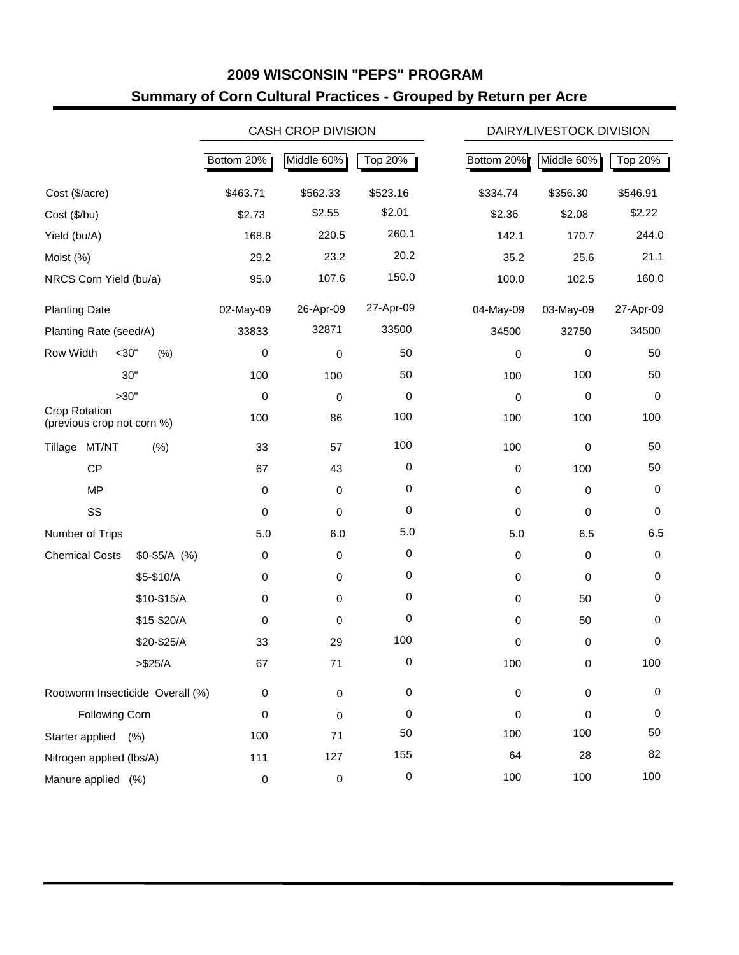## **2009 WISCONSIN "PEPS" PROGRAM Summary of Corn Cultural Practices - Grouped by Return per Acre**

|                                             |               |             | <b>CASH CROP DIVISION</b> |           |             | DAIRY/LIVESTOCK DIVISION |             |  |  |  |
|---------------------------------------------|---------------|-------------|---------------------------|-----------|-------------|--------------------------|-------------|--|--|--|
|                                             |               | Bottom 20%  | Middle 60%                | Top 20%   | Bottom 20%  | Middle 60%               | Top 20%     |  |  |  |
| Cost (\$/acre)                              |               | \$463.71    | \$562.33                  | \$523.16  | \$334.74    | \$356.30                 | \$546.91    |  |  |  |
| Cost (\$/bu)                                |               | \$2.73      | \$2.55                    | \$2.01    | \$2.36      | \$2.08                   | \$2.22      |  |  |  |
| Yield (bu/A)                                |               | 168.8       | 220.5                     | 260.1     | 142.1       | 170.7                    | 244.0       |  |  |  |
| Moist (%)                                   |               | 29.2        | 23.2                      | 20.2      | 35.2        | 25.6                     | 21.1        |  |  |  |
| NRCS Corn Yield (bu/a)                      |               | 95.0        | 107.6                     | 150.0     | 100.0       | 102.5                    | 160.0       |  |  |  |
| <b>Planting Date</b>                        |               | 02-May-09   | 26-Apr-09                 | 27-Apr-09 | 04-May-09   | 03-May-09                | 27-Apr-09   |  |  |  |
| Planting Rate (seed/A)                      |               | 33833       | 32871                     | 33500     | 34500       | 32750                    | 34500       |  |  |  |
| Row Width<br>$<$ 30"                        | (% )          | 0           | 0                         | 50        | 0           | 0                        | 50          |  |  |  |
|                                             | 30"           | 100         | 100                       | 50        | 100         | 100                      | 50          |  |  |  |
| >30"                                        |               | 0           | 0                         | 0         | 0           | 0                        | 0           |  |  |  |
| Crop Rotation<br>(previous crop not corn %) |               | 100         | 86                        | 100       | 100         | 100                      | 100         |  |  |  |
| Tillage MT/NT                               | (% )          | 33          | 57                        | 100       | 100         | $\pmb{0}$                | 50          |  |  |  |
| CP                                          |               | 67          | 43                        | 0         | $\pmb{0}$   | 100                      | 50          |  |  |  |
| <b>MP</b>                                   |               | $\mathbf 0$ | $\mathbf 0$               | 0         | 0           | 0                        | 0           |  |  |  |
| SS                                          |               | $\mathbf 0$ | 0                         | 0         | 0           | 0                        | $\mathbf 0$ |  |  |  |
| Number of Trips                             |               | 5.0         | 6.0                       | 5.0       | 5.0         | 6.5                      | 6.5         |  |  |  |
| <b>Chemical Costs</b>                       | $$0-$5/A$ (%) | $\mathbf 0$ | $\mathbf 0$               | 0         | $\mathbf 0$ | 0                        | $\,0\,$     |  |  |  |
|                                             | \$5-\$10/A    | $\mathbf 0$ | $\mathbf 0$               | 0         | 0           | 0                        | 0           |  |  |  |
|                                             | \$10-\$15/A   | $\mathbf 0$ | $\mathbf 0$               | 0         | 0           | 50                       | 0           |  |  |  |
|                                             | \$15-\$20/A   | 0           | 0                         | 0         | $\mathbf 0$ | 50                       | 0           |  |  |  |
|                                             | \$20-\$25/A   | 33          | 29                        | 100       | 0           | $\pmb{0}$                | $\mathbf 0$ |  |  |  |
|                                             | > \$25/A      | 67          | 71                        | 0         | 100         | $\mathsf 0$              | 100         |  |  |  |
| Rootworm Insecticide Overall (%)            |               | $\mathbf 0$ | $\pmb{0}$                 | 0         | $\pmb{0}$   | $\pmb{0}$                | $\pmb{0}$   |  |  |  |
| <b>Following Corn</b>                       |               | $\mathbf 0$ | 0                         | 0         | 0           | 0                        | 0           |  |  |  |
| Starter applied                             | (% )          | 100         | 71                        | 50        | 100         | 100                      | 50          |  |  |  |
| Nitrogen applied (lbs/A)                    |               | 111         | 127                       | 155       | 64          | 28                       | 82          |  |  |  |
| Manure applied (%)                          |               | $\mathbf 0$ | 0                         | 0         | 100         | 100                      | 100         |  |  |  |